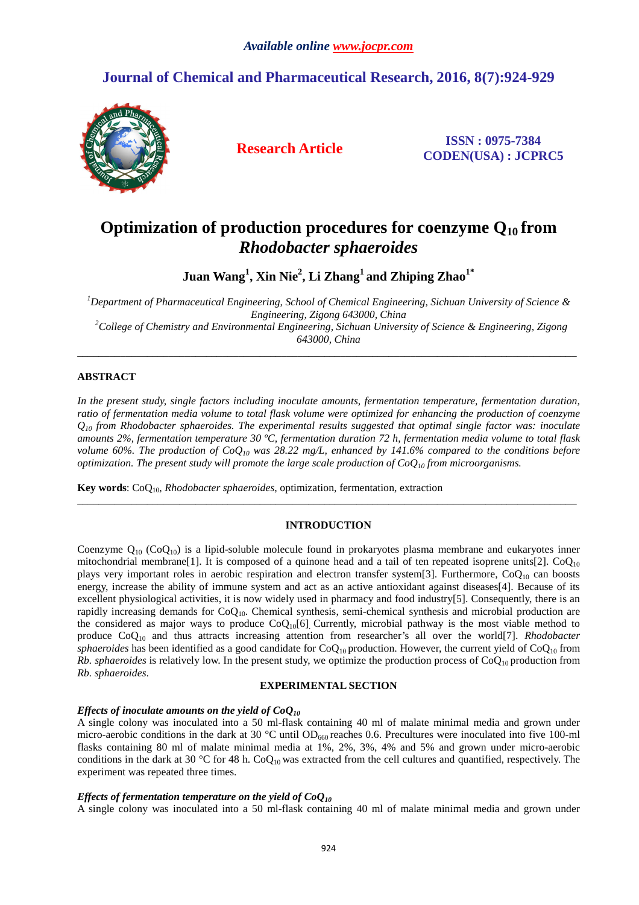## **Journal of Chemical and Pharmaceutical Research, 2016, 8(7):924-929**



**Research Article ISSN : 0975-7384 CODEN(USA) : JCPRC5**

# **Optimization of production procedures for coenzyme Q10 from**  *Rhodobacter sphaeroides*

**Juan Wang<sup>1</sup> , Xin Nie<sup>2</sup> , Li Zhang<sup>1</sup>and Zhiping Zhao1\*** 

*<sup>1</sup>Department of Pharmaceutical Engineering, School of Chemical Engineering, Sichuan University of Science & Engineering, Zigong 643000, China <sup>2</sup>College of Chemistry and Environmental Engineering, Sichuan University of Science & Engineering, Zigong 643000, China* 

**\_\_\_\_\_\_\_\_\_\_\_\_\_\_\_\_\_\_\_\_\_\_\_\_\_\_\_\_\_\_\_\_\_\_\_\_\_\_\_\_\_\_\_\_\_\_\_\_\_\_\_\_\_\_\_\_\_\_\_\_\_\_\_\_\_\_\_\_\_\_\_\_\_\_\_\_\_\_\_\_\_\_\_\_\_\_\_\_\_\_\_\_\_** 

## **ABSTRACT**

*In the present study, single factors including inoculate amounts, fermentation temperature, fermentation duration, ratio of fermentation media volume to total flask volume were optimized for enhancing the production of coenzyme*   $Q_{10}$  from Rhodobacter sphaeroides. The experimental results suggested that optimal single factor was: inoculate *amounts 2%, fermentation temperature 30 ºC, fermentation duration 72 h, fermentation media volume to total flask volume 60%. The production of CoQ10 was 28.22 mg/L, enhanced by 141.6% compared to the conditions before optimization. The present study will promote the large scale production of CoQ10 from microorganisms.* 

**Key words**: CoQ10, *Rhodobacter sphaeroides*, optimization, fermentation, extraction

## **INTRODUCTION**

 $\overline{a}$  , and the contribution of the contribution of the contribution of the contribution of the contribution of the contribution of the contribution of the contribution of the contribution of the contribution of the co

Coenzyme  $Q_{10}$  (Co $Q_{10}$ ) is a lipid-soluble molecule found in prokaryotes plasma membrane and eukaryotes inner mitochondrial membrane<sup>[1]</sup>. It is composed of a quinone head and a tail of ten repeated isoprene units<sup>[2]</sup>. CoO<sub>10</sub> plays very important roles in aerobic respiration and electron transfer system[3]. Furthermore,  $CoQ_{10}$  can boosts energy, increase the ability of immune system and act as an active antioxidant against diseases[4]. Because of its excellent physiological activities, it is now widely used in pharmacy and food industry[5]. Consequently, there is an rapidly increasing demands for  $CoQ_{10}$ . Chemical synthesis, semi-chemical synthesis and microbial production are the considered as major ways to produce  $CoQ_{10}[6]$  Currently, microbial pathway is the most viable method to produce CoQ10 and thus attracts increasing attention from researcher's all over the world[7]. *Rhodobacter sphaeroides* has been identified as a good candidate for  $CoQ_{10}$  production. However, the current yield of  $CoQ_{10}$  from *Rb. sphaeroides* is relatively low. In the present study, we optimize the production process of  $CoQ_{10}$  production from *Rb. sphaeroides*.

## **EXPERIMENTAL SECTION**

## *Effects of inoculate amounts on the yield of CoQ<sup>10</sup>*

A single colony was inoculated into a 50 ml-flask containing 40 ml of malate minimal media and grown under micro-aerobic conditions in the dark at 30  $^{\circ}$ C until OD<sub>660</sub> reaches 0.6. Precultures were inoculated into five 100-ml flasks containing 80 ml of malate minimal media at 1%, 2%, 3%, 4% and 5% and grown under micro-aerobic conditions in the dark at 30 °C for 48 h.  $CoQ_{10}$  was extracted from the cell cultures and quantified, respectively. The experiment was repeated three times.

#### *Effects of fermentation temperature on the yield of CoQ<sup>10</sup>*

A single colony was inoculated into a 50 ml-flask containing 40 ml of malate minimal media and grown under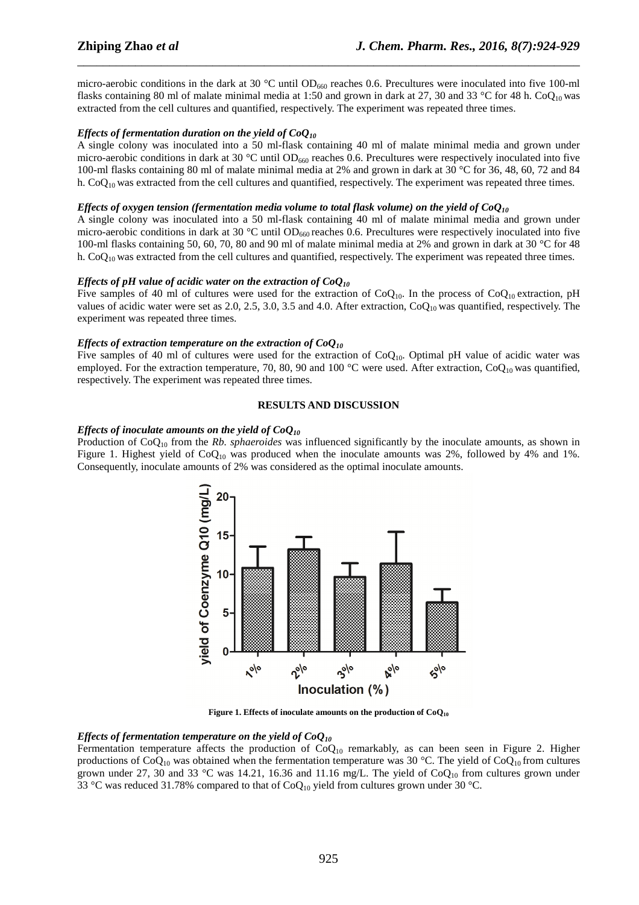micro-aerobic conditions in the dark at 30  $^{\circ}$ C until OD<sub>660</sub> reaches 0.6. Precultures were inoculated into five 100-ml flasks containing 80 ml of malate minimal media at 1:50 and grown in dark at 27, 30 and 33 °C for 48 h. CoQ<sub>10</sub> was extracted from the cell cultures and quantified, respectively. The experiment was repeated three times.

\_\_\_\_\_\_\_\_\_\_\_\_\_\_\_\_\_\_\_\_\_\_\_\_\_\_\_\_\_\_\_\_\_\_\_\_\_\_\_\_\_\_\_\_\_\_\_\_\_\_\_\_\_\_\_\_\_\_\_\_\_\_\_\_\_\_\_\_\_\_\_\_\_\_\_\_\_\_

## *Effects of fermentation duration on the yield of CoQ<sup>10</sup>*

A single colony was inoculated into a 50 ml-flask containing 40 ml of malate minimal media and grown under micro-aerobic conditions in dark at 30  $^{\circ}$ C until OD<sub>660</sub> reaches 0.6. Precultures were respectively inoculated into five 100-ml flasks containing 80 ml of malate minimal media at 2% and grown in dark at 30 °C for 36, 48, 60, 72 and 84 h.  $CoQ<sub>10</sub>$  was extracted from the cell cultures and quantified, respectively. The experiment was repeated three times.

#### *Effects of oxygen tension (fermentation media volume to total flask volume) on the yield of CoQ<sup>10</sup>*

A single colony was inoculated into a 50 ml-flask containing 40 ml of malate minimal media and grown under micro-aerobic conditions in dark at 30  $^{\circ}$ C until OD<sub>660</sub> reaches 0.6. Precultures were respectively inoculated into five 100-ml flasks containing 50, 60, 70, 80 and 90 ml of malate minimal media at 2% and grown in dark at 30 °C for 48 h.  $CoQ<sub>10</sub>$  was extracted from the cell cultures and quantified, respectively. The experiment was repeated three times.

## *Effects of pH value of acidic water on the extraction of CoQ<sup>10</sup>*

Five samples of 40 ml of cultures were used for the extraction of  $CoQ_{10}$ . In the process of  $CoQ_{10}$  extraction, pH values of acidic water were set as 2.0, 2.5, 3.0, 3.5 and 4.0. After extraction,  $CoQ_{10}$  was quantified, respectively. The experiment was repeated three times.

#### *Effects of extraction temperature on the extraction of CoQ<sup>10</sup>*

Five samples of 40 ml of cultures were used for the extraction of  $CoQ_{10}$ . Optimal pH value of acidic water was employed. For the extraction temperature, 70, 80, 90 and 100 °C were used. After extraction,  $CoQ_{10}$  was quantified, respectively. The experiment was repeated three times.

#### **RESULTS AND DISCUSSION**

#### *Effects of inoculate amounts on the yield of CoQ<sup>10</sup>*

Production of CoQ10 from the *Rb. sphaeroides* was influenced significantly by the inoculate amounts, as shown in Figure 1. Highest yield of  $CoQ_{10}$  was produced when the inoculate amounts was 2%, followed by 4% and 1%. Consequently, inoculate amounts of 2% was considered as the optimal inoculate amounts.



**Figure 1. Effects of inoculate amounts on the production of CoQ<sup>10</sup>**

## *Effects of fermentation temperature on the yield of CoQ<sup>10</sup>*

Fermentation temperature affects the production of CoQ<sub>10</sub> remarkably, as can been seen in Figure 2. Higher productions of CoQ<sub>10</sub> was obtained when the fermentation temperature was 30 °C. The yield of CoQ<sub>10</sub> from cultures grown under 27, 30 and 33 °C was 14.21, 16.36 and 11.16 mg/L. The yield of  $CoQ<sub>10</sub>$  from cultures grown under 33 °C was reduced 31.78% compared to that of CoQ<sub>10</sub> yield from cultures grown under 30 °C.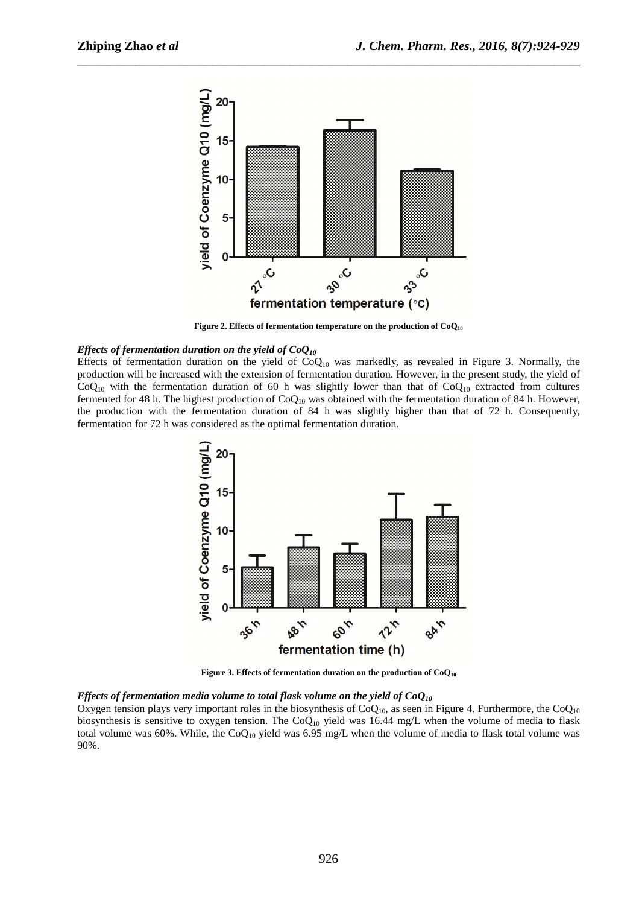

\_\_\_\_\_\_\_\_\_\_\_\_\_\_\_\_\_\_\_\_\_\_\_\_\_\_\_\_\_\_\_\_\_\_\_\_\_\_\_\_\_\_\_\_\_\_\_\_\_\_\_\_\_\_\_\_\_\_\_\_\_\_\_\_\_\_\_\_\_\_\_\_\_\_\_\_\_\_

**Figure 2. Effects of fermentation temperature on the production of CoQ<sup>10</sup>**

#### *Effects of fermentation duration on the yield of CoQ<sup>10</sup>*

Effects of fermentation duration on the yield of  $CoQ_{10}$  was markedly, as revealed in Figure 3. Normally, the production will be increased with the extension of fermentation duration. However, in the present study, the yield of  $CoQ<sub>10</sub>$  with the fermentation duration of 60 h was slightly lower than that of  $CoQ<sub>10</sub>$  extracted from cultures fermented for 48 h. The highest production of  $CoQ_{10}$  was obtained with the fermentation duration of 84 h. However, the production with the fermentation duration of 84 h was slightly higher than that of 72 h. Consequently, fermentation for 72 h was considered as the optimal fermentation duration.



**Figure 3. Effects of fermentation duration on the production of CoQ<sup>10</sup>**

#### *Effects of fermentation media volume to total flask volume on the yield of CoQ<sup>10</sup>*

Oxygen tension plays very important roles in the biosynthesis of  $CoQ<sub>10</sub>$ , as seen in Figure 4. Furthermore, the  $CoQ<sub>10</sub>$ biosynthesis is sensitive to oxygen tension. The CoQ<sub>10</sub> yield was 16.44 mg/L when the volume of media to flask total volume was 60%. While, the  $CoQ_{10}$  yield was 6.95 mg/L when the volume of media to flask total volume was 90%.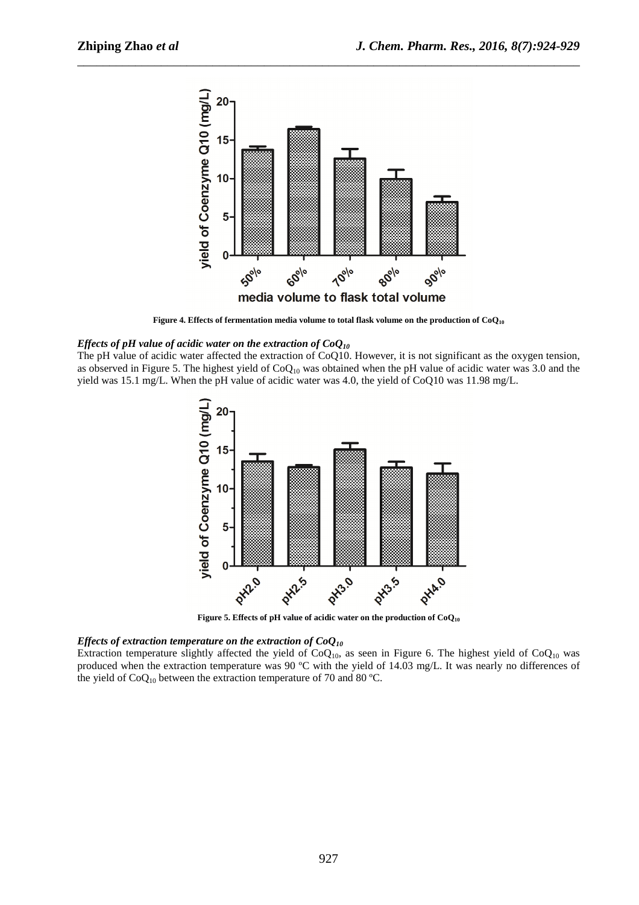

\_\_\_\_\_\_\_\_\_\_\_\_\_\_\_\_\_\_\_\_\_\_\_\_\_\_\_\_\_\_\_\_\_\_\_\_\_\_\_\_\_\_\_\_\_\_\_\_\_\_\_\_\_\_\_\_\_\_\_\_\_\_\_\_\_\_\_\_\_\_\_\_\_\_\_\_\_\_

**Figure 4. Effects of fermentation media volume to total flask volume on the production of CoQ<sup>10</sup>**

#### *Effects of pH value of acidic water on the extraction of CoQ<sup>10</sup>*

The pH value of acidic water affected the extraction of CoQ10. However, it is not significant as the oxygen tension, as observed in Figure 5. The highest yield of  $CoQ_{10}$  was obtained when the pH value of acidic water was 3.0 and the yield was 15.1 mg/L. When the pH value of acidic water was 4.0, the yield of CoQ10 was 11.98 mg/L.



**Figure 5. Effects of pH value of acidic water on the production of CoQ<sup>10</sup>**

#### *Effects of extraction temperature on the extraction of CoQ<sup>10</sup>*

Extraction temperature slightly affected the yield of  $CoQ_{10}$ , as seen in Figure 6. The highest yield of  $CoQ_{10}$  was produced when the extraction temperature was 90 ºC with the yield of 14.03 mg/L. It was nearly no differences of the yield of  $CoQ_{10}$  between the extraction temperature of 70 and 80 °C.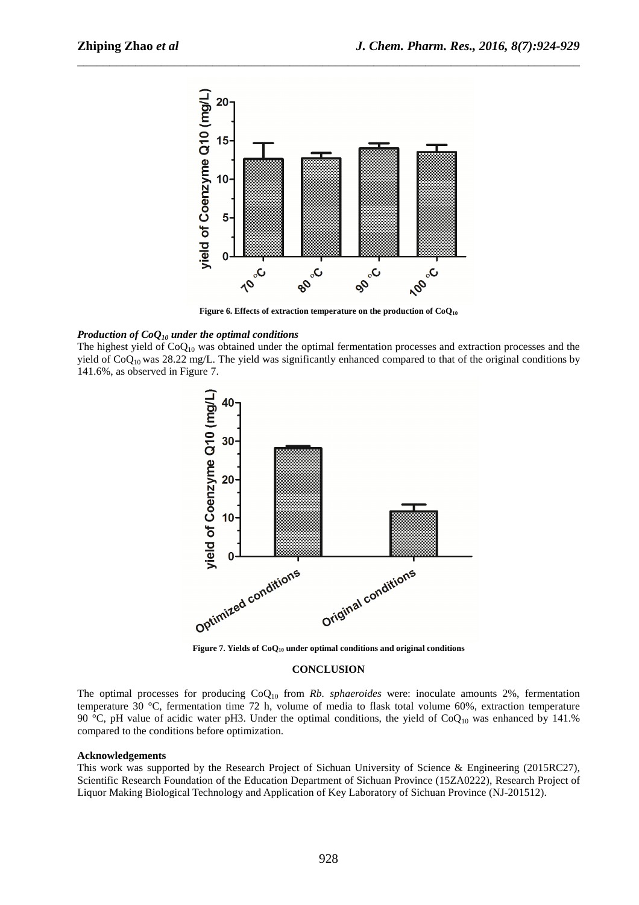

\_\_\_\_\_\_\_\_\_\_\_\_\_\_\_\_\_\_\_\_\_\_\_\_\_\_\_\_\_\_\_\_\_\_\_\_\_\_\_\_\_\_\_\_\_\_\_\_\_\_\_\_\_\_\_\_\_\_\_\_\_\_\_\_\_\_\_\_\_\_\_\_\_\_\_\_\_\_

**Figure 6. Effects of extraction temperature on the production of CoQ<sup>10</sup>**

#### *Production of CoQ10 under the optimal conditions*

The highest yield of CoQ<sub>10</sub> was obtained under the optimal fermentation processes and extraction processes and the yield of  $CoQ_{10}$  was 28.22 mg/L. The yield was significantly enhanced compared to that of the original conditions by 141.6%, as observed in Figure 7.



**Figure 7. Yields of CoQ10 under optimal conditions and original conditions** 

#### **CONCLUSION**

The optimal processes for producing CoQ10 from *Rb. sphaeroides* were: inoculate amounts 2%, fermentation temperature 30 °C, fermentation time 72 h, volume of media to flask total volume 60%, extraction temperature 90 °C, pH value of acidic water pH3. Under the optimal conditions, the yield of  $CoQ_{10}$  was enhanced by 141.% compared to the conditions before optimization.

#### **Acknowledgements**

This work was supported by the Research Project of Sichuan University of Science & Engineering (2015RC27), Scientific Research Foundation of the Education Department of Sichuan Province (15ZA0222), Research Project of Liquor Making Biological Technology and Application of Key Laboratory of Sichuan Province (NJ-201512).